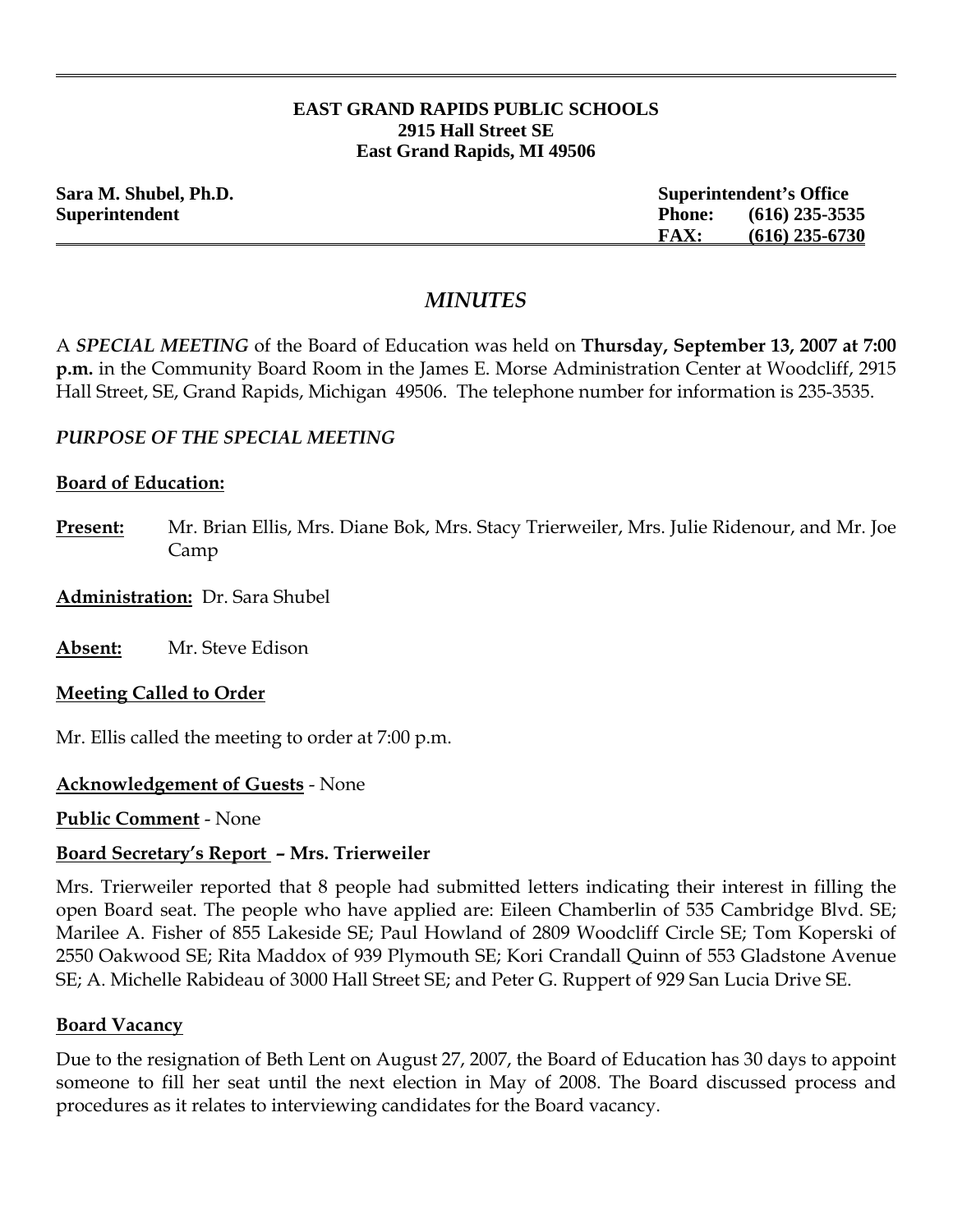#### **EAST GRAND RAPIDS PUBLIC SCHOOLS 2915 Hall Street SE East Grand Rapids, MI 49506**

| Sara M. Shubel, Ph.D. |               | <b>Superintendent's Office</b> |  |
|-----------------------|---------------|--------------------------------|--|
| Superintendent        | <b>Phone:</b> | $(616)$ 235-3535               |  |
|                       | <b>FAX:</b>   | $(616)$ 235-6730               |  |

# *MINUTES*

A *SPECIAL MEETING* of the Board of Education was held on **Thursday, September 13, 2007 at 7:00 p.m.** in the Community Board Room in the James E. Morse Administration Center at Woodcliff, 2915 Hall Street, SE, Grand Rapids, Michigan 49506. The telephone number for information is 235-3535.

### *PURPOSE OF THE SPECIAL MEETING*

### **Board of Education:**

- **Present:** Mr. Brian Ellis, Mrs. Diane Bok, Mrs. Stacy Trierweiler, Mrs. Julie Ridenour, and Mr. Joe Camp
- **Administration:** Dr. Sara Shubel

**Absent:** Mr. Steve Edison

### **Meeting Called to Order**

Mr. Ellis called the meeting to order at 7:00 p.m.

## **Acknowledgement of Guests** - None

**Public Comment** - None

### **Board Secretary's Report – Mrs. Trierweiler**

Mrs. Trierweiler reported that 8 people had submitted letters indicating their interest in filling the open Board seat. The people who have applied are: Eileen Chamberlin of 535 Cambridge Blvd. SE; Marilee A. Fisher of 855 Lakeside SE; Paul Howland of 2809 Woodcliff Circle SE; Tom Koperski of 2550 Oakwood SE; Rita Maddox of 939 Plymouth SE; Kori Crandall Quinn of 553 Gladstone Avenue SE; A. Michelle Rabideau of 3000 Hall Street SE; and Peter G. Ruppert of 929 San Lucia Drive SE.

### **Board Vacancy**

Due to the resignation of Beth Lent on August 27, 2007, the Board of Education has 30 days to appoint someone to fill her seat until the next election in May of 2008. The Board discussed process and procedures as it relates to interviewing candidates for the Board vacancy.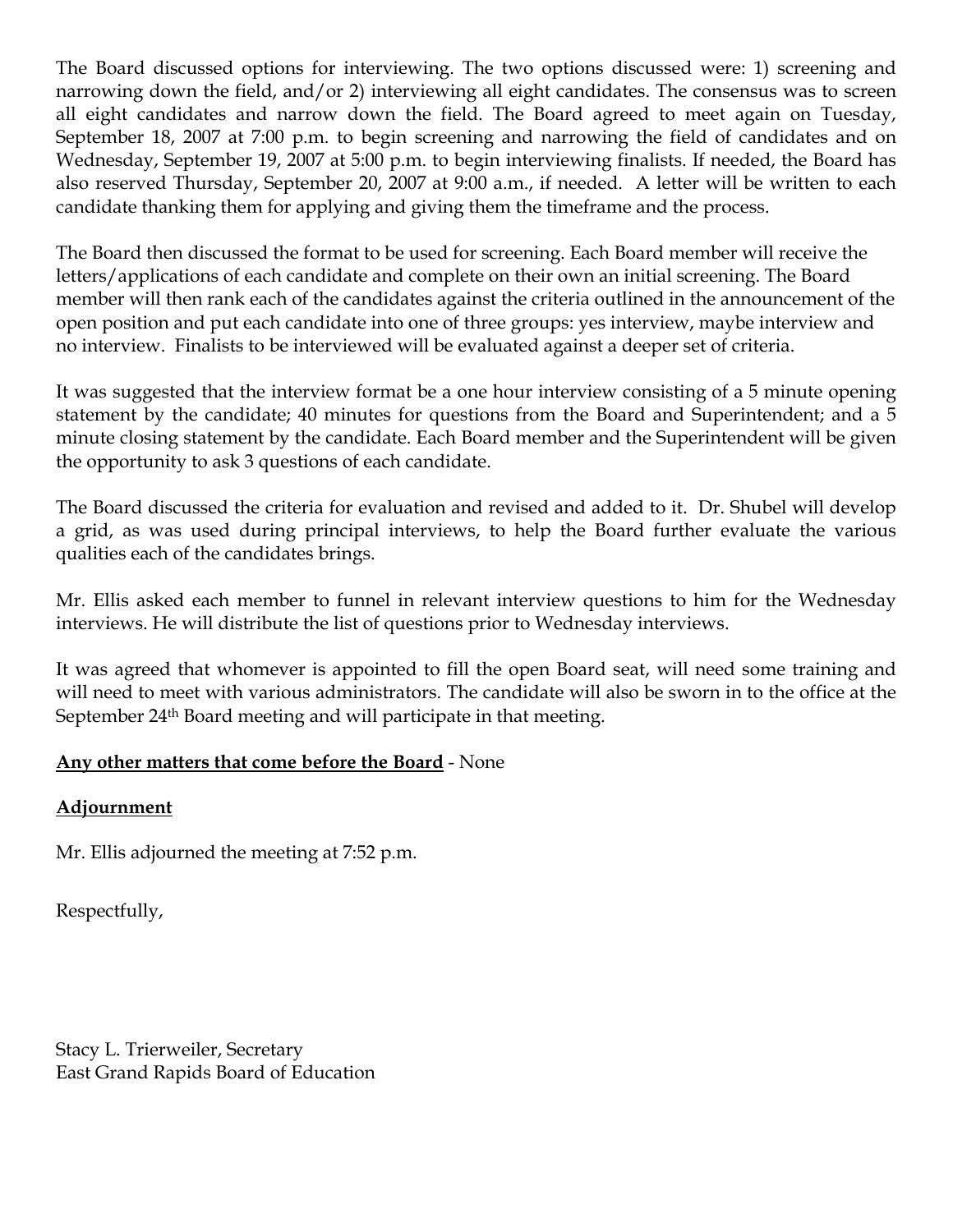The Board discussed options for interviewing. The two options discussed were: 1) screening and narrowing down the field, and/or 2) interviewing all eight candidates. The consensus was to screen all eight candidates and narrow down the field. The Board agreed to meet again on Tuesday, September 18, 2007 at 7:00 p.m. to begin screening and narrowing the field of candidates and on Wednesday, September 19, 2007 at 5:00 p.m. to begin interviewing finalists. If needed, the Board has also reserved Thursday, September 20, 2007 at 9:00 a.m., if needed. A letter will be written to each candidate thanking them for applying and giving them the timeframe and the process.

The Board then discussed the format to be used for screening. Each Board member will receive the letters/applications of each candidate and complete on their own an initial screening. The Board member will then rank each of the candidates against the criteria outlined in the announcement of the open position and put each candidate into one of three groups: yes interview, maybe interview and no interview. Finalists to be interviewed will be evaluated against a deeper set of criteria.

It was suggested that the interview format be a one hour interview consisting of a 5 minute opening statement by the candidate; 40 minutes for questions from the Board and Superintendent; and a 5 minute closing statement by the candidate. Each Board member and the Superintendent will be given the opportunity to ask 3 questions of each candidate.

The Board discussed the criteria for evaluation and revised and added to it. Dr. Shubel will develop a grid, as was used during principal interviews, to help the Board further evaluate the various qualities each of the candidates brings.

Mr. Ellis asked each member to funnel in relevant interview questions to him for the Wednesday interviews. He will distribute the list of questions prior to Wednesday interviews.

It was agreed that whomever is appointed to fill the open Board seat, will need some training and will need to meet with various administrators. The candidate will also be sworn in to the office at the September 24th Board meeting and will participate in that meeting.

## **Any other matters that come before the Board** - None

## **Adjournment**

Mr. Ellis adjourned the meeting at 7:52 p.m.

Respectfully,

Stacy L. Trierweiler, Secretary East Grand Rapids Board of Education